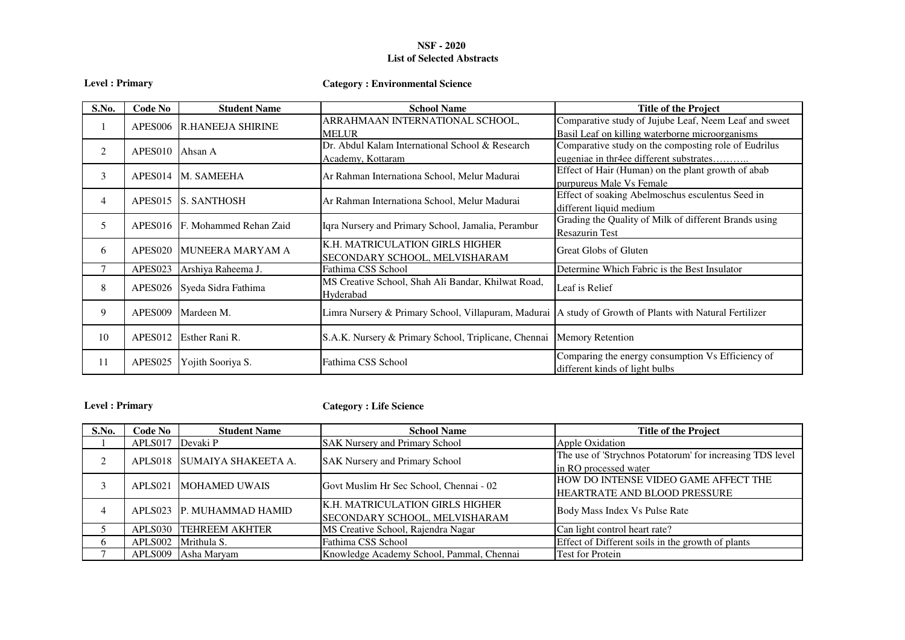## **NSF - 2020 List of Selected Abstracts**

|  |  | Level : Primary |
|--|--|-----------------|
|--|--|-----------------|

# **Category : Environmental Science**

| S.No.          | Code No             | <b>Student Name</b>       | <b>School Name</b>                                                                                        | <b>Title of the Project</b>                                                                              |
|----------------|---------------------|---------------------------|-----------------------------------------------------------------------------------------------------------|----------------------------------------------------------------------------------------------------------|
|                |                     | APES006 R.HANEEJA SHIRINE | ARRAHMAAN INTERNATIONAL SCHOOL,<br><b>MELUR</b>                                                           | Comparative study of Jujube Leaf, Neem Leaf and sweet<br>Basil Leaf on killing waterborne microorganisms |
| 2              | APES010             | Ahsan A                   | Dr. Abdul Kalam International School & Research<br>Academy, Kottaram                                      | Comparative study on the composting role of Eudrilus<br>eugeniae in thr4ee different substrates          |
| 3              | APES014             | M. SAMEEHA                | Ar Rahman Internationa School, Melur Madurai                                                              | Effect of Hair (Human) on the plant growth of abab<br>purpureus Male Vs Female                           |
| $\overline{4}$ | APES015             | IS. SANTHOSH              | Ar Rahman Internationa School, Melur Madurai                                                              | Effect of soaking Abelmoschus esculentus Seed in<br>different liquid medium                              |
| 5              | APES016             | F. Mohammed Rehan Zaid    | Iqra Nursery and Primary School, Jamalia, Perambur                                                        | Grading the Quality of Milk of different Brands using<br><b>Resazurin Test</b>                           |
| 6              | APES <sub>020</sub> | MUNEERA MARYAM A          | K.H. MATRICULATION GIRLS HIGHER<br>SECONDARY SCHOOL, MELVISHARAM                                          | <b>Great Globs of Gluten</b>                                                                             |
|                | APES023             | Arshiya Raheema J.        | Fathima CSS School                                                                                        | Determine Which Fabric is the Best Insulator                                                             |
| 8              | APES <sub>026</sub> | Syeda Sidra Fathima       | MS Creative School, Shah Ali Bandar, Khilwat Road,<br>Hyderabad                                           | Leaf is Relief                                                                                           |
| 9              | APES <sub>009</sub> | Mardeen M.                | Limra Nursery & Primary School, Villapuram, Madurai   A study of Growth of Plants with Natural Fertilizer |                                                                                                          |
| 10             | APES <sub>012</sub> | Esther Rani R.            | S.A.K. Nursery & Primary School, Triplicane, Chennai                                                      | <b>Memory Retention</b>                                                                                  |
| 11             | APES <sub>025</sub> | Yojith Sooriya S.         | Fathima CSS School                                                                                        | Comparing the energy consumption Vs Efficiency of<br>different kinds of light bulbs                      |

**Level : Primary**

**Category : Life Science**

| S.No.    | Code No | <b>Student Name</b>         | <b>School Name</b>                                               | <b>Title of the Project</b>                                                        |
|----------|---------|-----------------------------|------------------------------------------------------------------|------------------------------------------------------------------------------------|
|          | APLS017 | Devaki P                    | <b>SAK Nursery and Primary School</b>                            | Apple Oxidation                                                                    |
|          |         | APLS018 SUMAIYA SHAKEETA A. | <b>SAK Nursery and Primary School</b>                            | The use of 'Strychnos Potatorum' for increasing TDS level<br>in RO processed water |
|          |         | APLS021 MOHAMED UWAIS       | Govt Muslim Hr Sec School, Chennai - 02                          | HOW DO INTENSE VIDEO GAME AFFECT THE<br>HEARTRATE AND BLOOD PRESSURE               |
| $\Delta$ |         | APLS023 P. MUHAMMAD HAMID   | K.H. MATRICULATION GIRLS HIGHER<br>SECONDARY SCHOOL, MELVISHARAM | Body Mass Index Vs Pulse Rate                                                      |
|          |         | APLS030 TEHREEM AKHTER      | MS Creative School, Rajendra Nagar                               | Can light control heart rate?                                                      |
| 6        |         | APLS002 Mrithula S.         | Fathima CSS School                                               | Effect of Different soils in the growth of plants                                  |
|          |         | APLS009 Asha Maryam         | Knowledge Academy School, Pammal, Chennai                        | <b>Test for Protein</b>                                                            |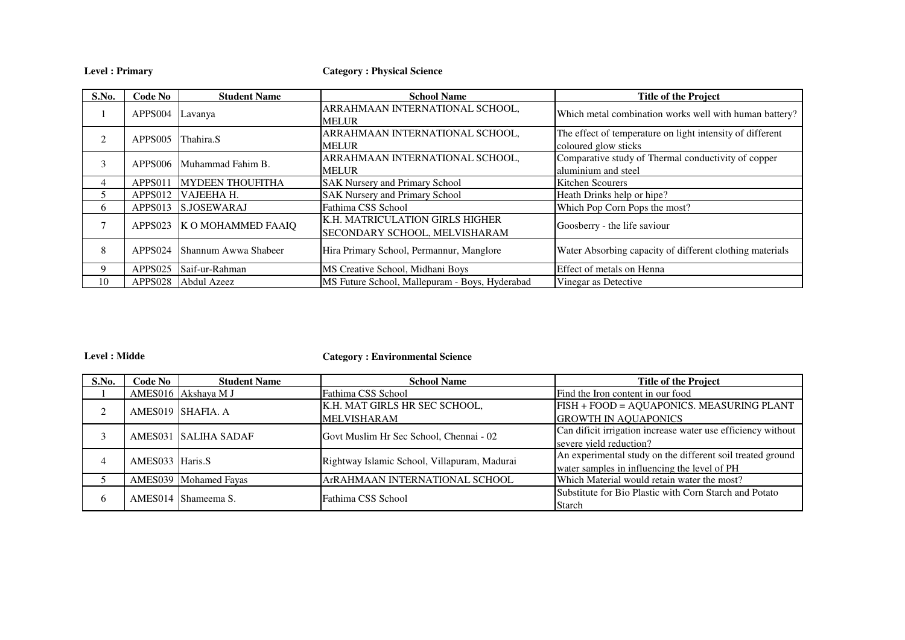**Level : Primary**

**Category : Physical Science**

| S.No.          | Code No             | <b>Student Name</b>     | <b>School Name</b>                                                             | <b>Title of the Project</b>                                                       |
|----------------|---------------------|-------------------------|--------------------------------------------------------------------------------|-----------------------------------------------------------------------------------|
|                | APPS004 Lavanya     |                         | ARRAHMAAN INTERNATIONAL SCHOOL,<br><b>MELUR</b>                                | Which metal combination works well with human battery?                            |
| $\mathfrak{D}$ | APPS005             | Thahira.S               | ARRAHMAAN INTERNATIONAL SCHOOL,<br><b>MELUR</b>                                | The effect of temperature on light intensity of different<br>coloured glow sticks |
| 3              | APPS006             | Muhammad Fahim B.       | ARRAHMAAN INTERNATIONAL SCHOOL,<br><b>MELUR</b>                                | Comparative study of Thermal conductivity of copper<br>aluminium and steel        |
| 4              | APPS011             | <b>MYDEEN THOUFITHA</b> | <b>SAK Nursery and Primary School</b>                                          | Kitchen Scourers                                                                  |
|                | APPS012             | VAJEEHA H.              | <b>SAK Nursery and Primary School</b>                                          | Heath Drinks help or hipe?                                                        |
| <sub>b</sub>   | APPS013             | S.JOSEWARAJ             | Fathima CSS School                                                             | Which Pop Corn Pops the most?                                                     |
| 7              | APPS023             | K O MOHAMMED FAAIQ      | <b>K.H. MATRICULATION GIRLS HIGHER</b><br><b>SECONDARY SCHOOL, MELVISHARAM</b> | Goosberry - the life saviour                                                      |
| 8              | APPS <sub>024</sub> | Shannum Awwa Shabeer    | Hira Primary School, Permannur, Manglore                                       | Water Absorbing capacity of different clothing materials                          |
| 9              | APPS025             | Saif-ur-Rahman          | MS Creative School, Midhani Boys                                               | Effect of metals on Henna                                                         |
| 10             | APPS028             | Abdul Azeez             | MS Future School, Mallepuram - Boys, Hyderabad                                 | Vinegar as Detective                                                              |

#### **Level : Midde**

**Category : Environmental Science**

| S.No.        | Code No         | <b>Student Name</b>   | <b>School Name</b>                           | <b>Title of the Project</b>                                  |
|--------------|-----------------|-----------------------|----------------------------------------------|--------------------------------------------------------------|
|              |                 | AMES016 Akshaya M J   | Fathima CSS School                           | Find the Iron content in our food                            |
|              |                 | AMES019 SHAFIA. A     | K.H. MAT GIRLS HR SEC SCHOOL,                | FISH + FOOD = AQUAPONICS. MEASURING PLANT                    |
|              |                 |                       | <b>MELVISHARAM</b>                           | <b>GROWTH IN AQUAPONICS</b>                                  |
|              |                 | AMES031 SALIHA SADAF  | Govt Muslim Hr Sec School, Chennai - 02      | Can dificit irrigation increase water use efficiency without |
|              |                 |                       |                                              | severe yield reduction?                                      |
|              | AMES033 Haris.S |                       | Rightway Islamic School, Villapuram, Madurai | An experimental study on the different soil treated ground   |
|              |                 |                       |                                              | water samples in influencing the level of PH                 |
|              |                 | AMES039 Mohamed Fayas | ArRAHMAAN INTERNATIONAL SCHOOL               | Which Material would retain water the most?                  |
|              |                 | AMES014 Shameema S.   | Fathima CSS School                           | Substitute for Bio Plastic with Corn Starch and Potato       |
| <sub>6</sub> |                 |                       |                                              | <b>Starch</b>                                                |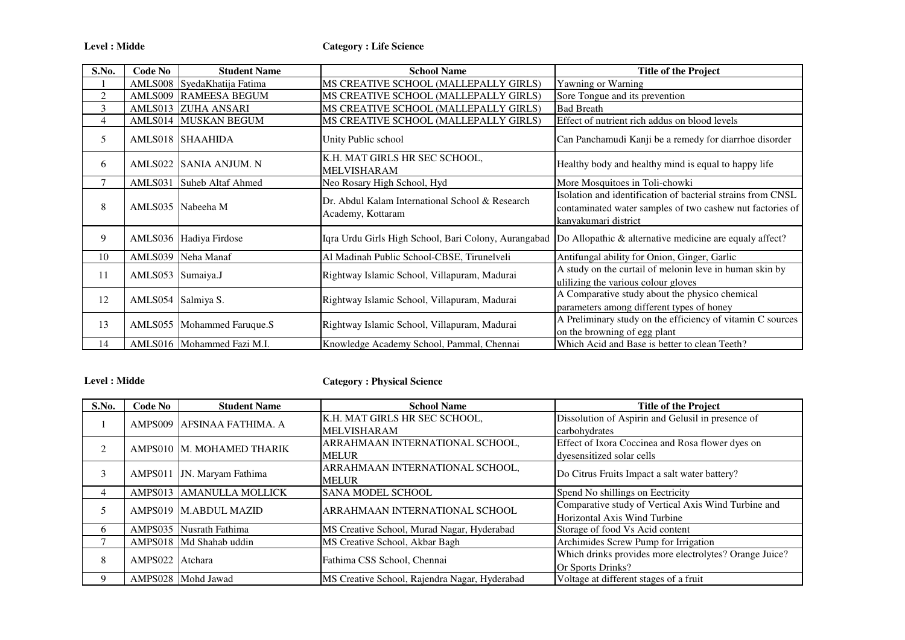**Level : Midde**

| S.No. | Code No            | <b>Student Name</b>         | <b>School Name</b>                                                   | <b>Title of the Project</b>                                                                                                                      |
|-------|--------------------|-----------------------------|----------------------------------------------------------------------|--------------------------------------------------------------------------------------------------------------------------------------------------|
|       |                    | AMLS008 SyedaKhatija Fatima | MS CREATIVE SCHOOL (MALLEPALLY GIRLS)                                | Yawning or Warning                                                                                                                               |
| 2     |                    | AMLS009 RAMEESA BEGUM       | MS CREATIVE SCHOOL (MALLEPALLY GIRLS)                                | Sore Tongue and its prevention                                                                                                                   |
| 3     |                    | AMLS013 ZUHA ANSARI         | MS CREATIVE SCHOOL (MALLEPALLY GIRLS)                                | <b>Bad Breath</b>                                                                                                                                |
| 4     |                    | AMLS014 MUSKAN BEGUM        | MS CREATIVE SCHOOL (MALLEPALLY GIRLS)                                | Effect of nutrient rich addus on blood levels                                                                                                    |
| 5     |                    | AMLS018 SHAAHIDA            | Unity Public school                                                  | Can Panchamudi Kanji be a remedy for diarrhoe disorder                                                                                           |
| 6     |                    | AMLS022 ISANIA ANJUM. N     | K.H. MAT GIRLS HR SEC SCHOOL,<br>MELVISHARAM                         | Healthy body and healthy mind is equal to happy life                                                                                             |
| 7     |                    | AMLS031 Suheb Altaf Ahmed   | Neo Rosary High School, Hyd                                          | More Mosquitoes in Toli-chowki                                                                                                                   |
| 8     |                    | AMLS035 Nabeeha M           | Dr. Abdul Kalam International School & Research<br>Academy, Kottaram | Isolation and identification of bacterial strains from CNSL<br>contaminated water samples of two cashew nut factories of<br>kanyakumari district |
| 9     |                    | AMLS036 Hadiya Firdose      | Iqra Urdu Girls High School, Bari Colony, Aurangabad                 | Do Allopathic & alternative medicine are equaly affect?                                                                                          |
| 10    |                    | AMLS039 Neha Manaf          | Al Madinah Public School-CBSE, Tirunelveli                           | Antifungal ability for Onion, Ginger, Garlic                                                                                                     |
| 11    | AMLS053 Sumaiya.J  |                             | Rightway Islamic School, Villapuram, Madurai                         | A study on the curtail of melonin leve in human skin by<br>ulilizing the various colour gloves                                                   |
| 12    | AMLS054 Salmiya S. |                             | Rightway Islamic School, Villapuram, Madurai                         | A Comparative study about the physico chemical<br>parameters among different types of honey                                                      |
| 13    |                    | AMLS055 Mohammed Faruque.S  | Rightway Islamic School, Villapuram, Madurai                         | A Preliminary study on the efficiency of vitamin C sources<br>on the browning of egg plant                                                       |
| 14    |                    | AMLS016 Mohammed Fazi M.I.  | Knowledge Academy School, Pammal, Chennai                            | Which Acid and Base is better to clean Teeth?                                                                                                    |

## **Level : Midde**

# **Category : Physical Science**

| S.No. | Code No                    | <b>Student Name</b>        | <b>School Name</b>                            | <b>Title of the Project</b>                            |
|-------|----------------------------|----------------------------|-----------------------------------------------|--------------------------------------------------------|
|       |                            | AMPS009 AFSINAA FATHIMA. A | K.H. MAT GIRLS HR SEC SCHOOL,                 | Dissolution of Aspirin and Gelusil in presence of      |
|       |                            |                            | <b>MELVISHARAM</b>                            | carbohydrates                                          |
|       |                            | AMPS010 M. MOHAMED THARIK  | ARRAHMAAN INTERNATIONAL SCHOOL,               | Effect of Ixora Coccinea and Rosa flower dyes on       |
|       |                            |                            | <b>MELUR</b>                                  | dyesensitized solar cells                              |
| 3     |                            |                            | ARRAHMAAN INTERNATIONAL SCHOOL,               | Do Citrus Fruits Impact a salt water battery?          |
|       | AMPS011 JN. Maryam Fathima |                            | <b>MELUR</b>                                  |                                                        |
|       |                            | AMPS013 AMANULLA MOLLICK   | <b>SANA MODEL SCHOOL</b>                      | Spend No shillings on Eectricity                       |
|       |                            | AMPS019 M.ABDUL MAZID      | ARRAHMAAN INTERNATIONAL SCHOOL                | Comparative study of Vertical Axis Wind Turbine and    |
|       |                            |                            |                                               | Horizontal Axis Wind Turbine                           |
| h     |                            | AMPS035 Nusrath Fathima    | MS Creative School, Murad Nagar, Hyderabad    | Storage of food Vs Acid content                        |
|       |                            | AMPS018 Md Shahab uddin    | MS Creative School, Akbar Bagh                | Archimides Screw Pump for Irrigation                   |
| 8     | AMPS022 Atchara            |                            |                                               | Which drinks provides more electrolytes? Orange Juice? |
|       |                            |                            | Fathima CSS School, Chennai                   | Or Sports Drinks?                                      |
|       |                            | AMPS028 Mohd Jawad         | MS Creative School, Rajendra Nagar, Hyderabad | Voltage at different stages of a fruit                 |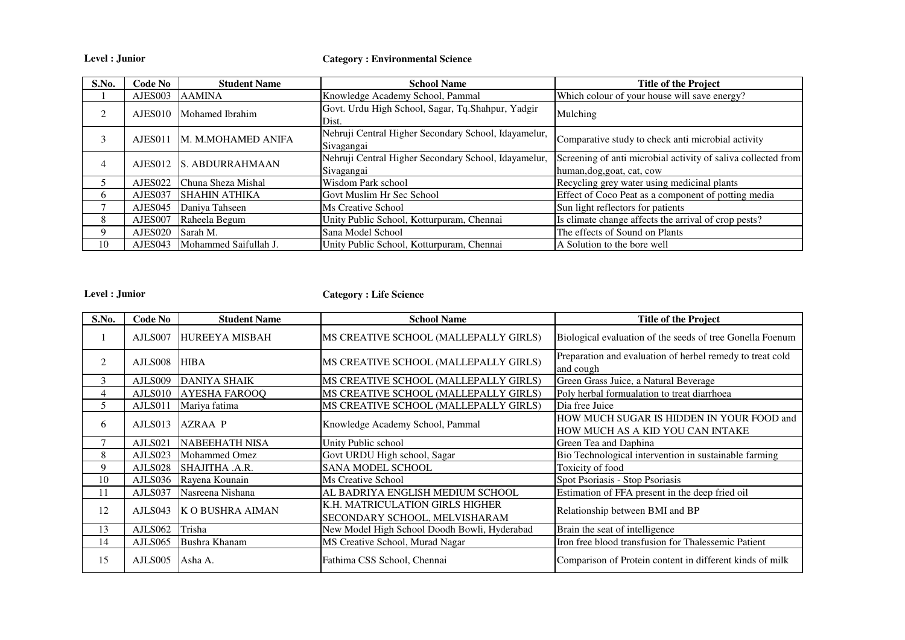**Level : Junior**

#### **Category : Environmental Science**

| S.No.        | Code No             | <b>Student Name</b>     | <b>School Name</b>                                                 | <b>Title of the Project</b>                                                                 |
|--------------|---------------------|-------------------------|--------------------------------------------------------------------|---------------------------------------------------------------------------------------------|
|              | AJES003             | AAMINA                  | Knowledge Academy School, Pammal                                   | Which colour of your house will save energy?                                                |
|              | AJES010             | Mohamed Ibrahim         | Govt. Urdu High School, Sagar, Tq.Shahpur, Yadgir<br>Dist.         | Mulching                                                                                    |
|              | AJES011             | M. M.MOHAMED ANIFA      | Nehruji Central Higher Secondary School, Idayamelur,<br>Sivagangai | Comparative study to check anti microbial activity                                          |
| 4            |                     | AJES012 S. ABDURRAHMAAN | Nehruji Central Higher Secondary School, Idayamelur,<br>Sivagangai | Screening of anti microbial activity of saliva collected from<br>human, dog, goat, cat, cow |
|              | AJES022             | Chuna Sheza Mishal      | Wisdom Park school                                                 | Recycling grey water using medicinal plants                                                 |
| <sub>t</sub> | AJES037             | <b>SHAHIN ATHIKA</b>    | Govt Muslim Hr Sec School                                          | Effect of Coco Peat as a component of potting media                                         |
|              | AJES <sub>045</sub> | Daniya Tahseen          | Ms Creative School                                                 | Sun light reflectors for patients                                                           |
|              | AJES007             | Raheela Begum           | Unity Public School, Kotturpuram, Chennai                          | Is climate change affects the arrival of crop pests?                                        |
| 9            | AJES020             | Sarah M.                | Sana Model School                                                  | The effects of Sound on Plants                                                              |
| 10           | AJES043             | Mohammed Saifullah J.   | Unity Public School, Kotturpuram, Chennai                          | A Solution to the bore well                                                                 |

**Level : Junior**

# **Category : Life Science**

| S.No. | Code No | <b>Student Name</b>     | <b>School Name</b>                                               | <b>Title of the Project</b>                                                   |
|-------|---------|-------------------------|------------------------------------------------------------------|-------------------------------------------------------------------------------|
|       | AJLS007 | <b>HUREEYA MISBAH</b>   | MS CREATIVE SCHOOL (MALLEPALLY GIRLS)                            | Biological evaluation of the seeds of tree Gonella Foenum                     |
| 2     | AJLS008 | <b>HIBA</b>             | MS CREATIVE SCHOOL (MALLEPALLY GIRLS)                            | Preparation and evaluation of herbel remedy to treat cold<br>and cough        |
| 3     | AJLS009 | <b>DANIYA SHAIK</b>     | MS CREATIVE SCHOOL (MALLEPALLY GIRLS)                            | Green Grass Juice, a Natural Beverage                                         |
| 4     | AJLS010 | <b>AYESHA FAROOQ</b>    | MS CREATIVE SCHOOL (MALLEPALLY GIRLS)                            | Poly herbal formualation to treat diarrhoea                                   |
|       | AJLS011 | Mariya fatima           | MS CREATIVE SCHOOL (MALLEPALLY GIRLS)                            | Dia free Juice                                                                |
| 6     | AJLS013 | <b>AZRAA P</b>          | Knowledge Academy School, Pammal                                 | HOW MUCH SUGAR IS HIDDEN IN YOUR FOOD and<br>HOW MUCH AS A KID YOU CAN INTAKE |
|       | AJLS021 | <b>NABEEHATH NISA</b>   | Unity Public school                                              | Green Tea and Daphina                                                         |
| 8     | AJLS023 | <b>Mohammed Omez</b>    | Govt URDU High school, Sagar                                     | Bio Technological intervention in sustainable farming                         |
| 9     | AJLS028 | SHAJITHA .A.R.          | <b>SANA MODEL SCHOOL</b>                                         | Toxicity of food                                                              |
| 10    | AJLS036 | Rayena Kounain          | Ms Creative School                                               | Spot Psoriasis - Stop Psoriasis                                               |
| 11    | AJLS037 | Nasreena Nishana        | AL BADRIYA ENGLISH MEDIUM SCHOOL                                 | Estimation of FFA present in the deep fried oil                               |
| 12    | AJLS043 | <b>K O BUSHRA AIMAN</b> | K.H. MATRICULATION GIRLS HIGHER<br>SECONDARY SCHOOL, MELVISHARAM | Relationship between BMI and BP                                               |
| 13    | AJLS062 | Trisha                  | New Model High School Doodh Bowli, Hyderabad                     | Brain the seat of intelligence                                                |
| 14    | AJLS065 | Bushra Khanam           | MS Creative School, Murad Nagar                                  | Iron free blood transfusion for Thalessemic Patient                           |
| 15    | AJLS005 | Asha A.                 | Fathima CSS School, Chennai                                      | Comparison of Protein content in different kinds of milk                      |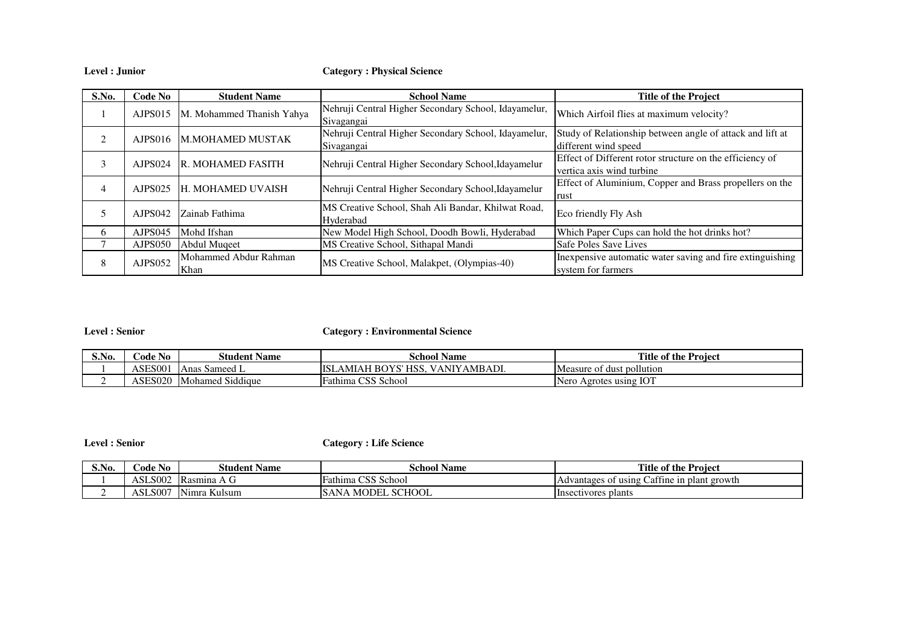**Level : Junior**

**Category : Physical Science**

| S.No.                       | Code No             | <b>Student Name</b>           | <b>School Name</b>                                                 | <b>Title of the Project</b>                                                           |
|-----------------------------|---------------------|-------------------------------|--------------------------------------------------------------------|---------------------------------------------------------------------------------------|
|                             | AJPS015             | M. Mohammed Thanish Yahya     | Nehruji Central Higher Secondary School, Idayamelur,<br>Sivagangai | Which Airfoil flies at maximum velocity?                                              |
| $\mathcal{D}_{\mathcal{L}}$ | AJPS016             | M.MOHAMED MUSTAK              | Nehruji Central Higher Secondary School, Idayamelur,<br>Sivagangai | Study of Relationship between angle of attack and lift at<br>different wind speed     |
| 3                           | AJPS024             | <b>R. MOHAMED FASITH</b>      | Nehruji Central Higher Secondary School, Idayamelur                | Effect of Different rotor structure on the efficiency of<br>vertica axis wind turbine |
| 4                           | AJPS025             | <b>H. MOHAMED UVAISH</b>      | Nehruji Central Higher Secondary School, Idayamelur                | Effect of Aluminium, Copper and Brass propellers on the<br>rust                       |
|                             | AJPS <sub>042</sub> | Zainab Fathima                | MS Creative School, Shah Ali Bandar, Khilwat Road,<br>Hyderabad    | Eco friendly Fly Ash                                                                  |
| 6                           | AJPS045             | Mohd Ifshan                   | New Model High School, Doodh Bowli, Hyderabad                      | Which Paper Cups can hold the hot drinks hot?                                         |
|                             | AJPS050             | Abdul Muqeet                  | MS Creative School, Sithapal Mandi                                 | Safe Poles Save Lives                                                                 |
| 8                           | AJPS052             | Mohammed Abdur Rahman<br>Khan | MS Creative School, Malakpet, (Olympias-40)                        | Inexpensive automatic water saving and fire extinguishing<br>system for farmers       |

## **Level : Senior**

**Category : Environmental Science**

| S.No. | $\cdot$ No<br>Code | <i>S</i> tudent Name             | ~<br>. .<br><b>School Name</b>                            | <b>Title</b><br>e of the Proiect |
|-------|--------------------|----------------------------------|-----------------------------------------------------------|----------------------------------|
|       | <b>ASES00</b>      | Sameed L<br>Anas                 | 'AMBADI.<br><b>TTCL</b><br>ISL<br>AM<br>-BO<br>NIY<br>'Ah | Measure of dust pollution        |
|       | ASES020            | 0.111<br><b>Mohamed Siddique</b> | $\sim$<br>Fathima<br>School<br>دردب                       | s using IOT:<br>Nero<br>Agrotes  |

**Level : Senior**

**Category : Life Science**

| S.No.     | <b>Code No</b> | <b>Student Name</b>                      | $\sim$ .<br>.<br>School Name                 | <b>Title</b><br>e of the Proiect                             |
|-----------|----------------|------------------------------------------|----------------------------------------------|--------------------------------------------------------------|
|           | ASLS002        | ID <sub>0</sub><br>IKasmina<br>. T. L.I  | $\sim$<br>$\sim$<br>r<br>s School<br>∹athıma | attine in<br>plant growth<br>of using<br>divantages of<br>Ad |
| <b>__</b> | <b>ASLS007</b> | $\mathbf{L}$<br>$-1$<br>∟Kulsum<br>Nımra | . MODEL SCHOOL<br>SAN                        | <b>Insectivores</b><br>. plants                              |